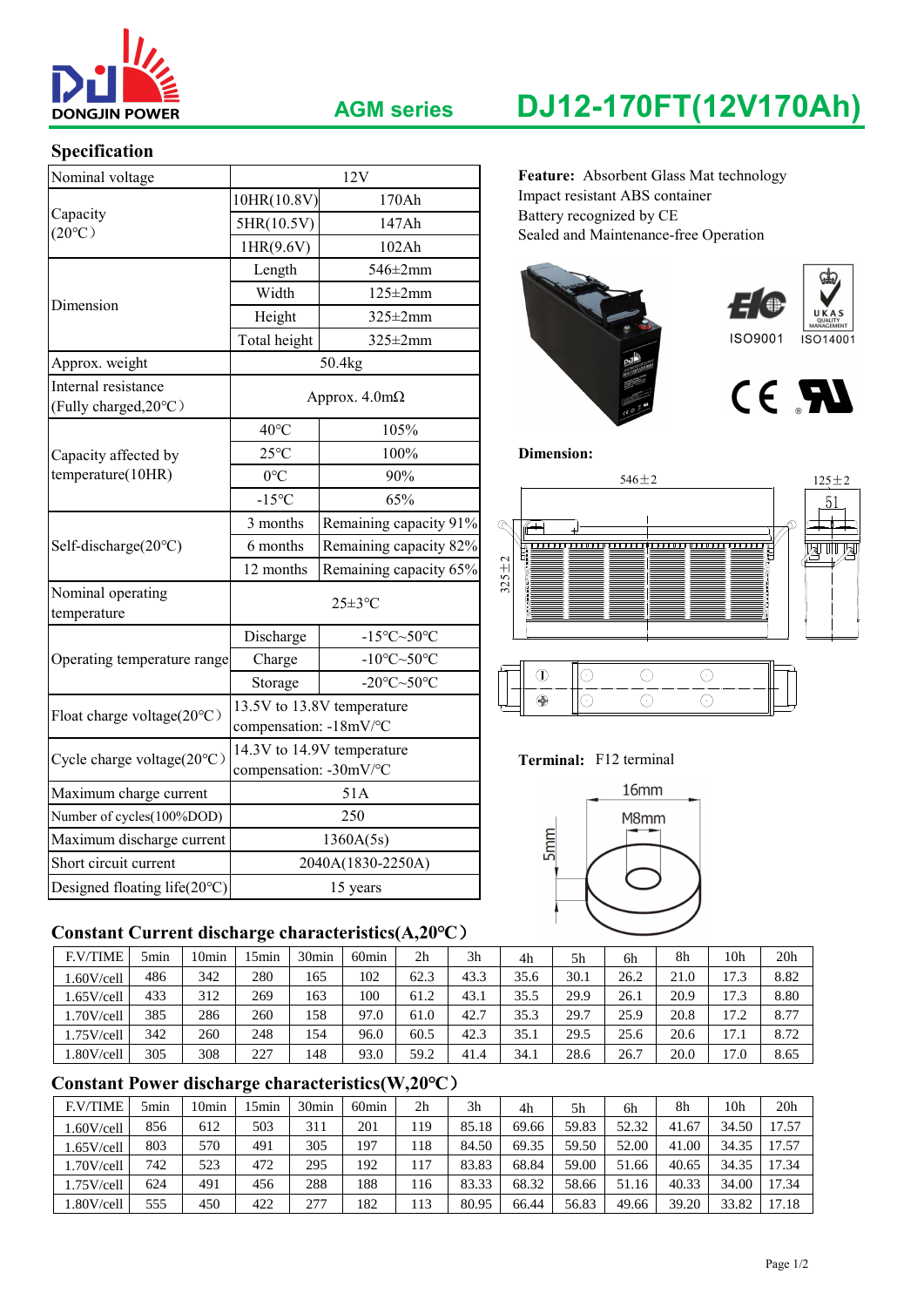

### **Specification**

| Nominal voltage                              |                                                          | 12V                                           | Feature: Absorbent Glass Mat technology            |  |  |  |  |  |  |
|----------------------------------------------|----------------------------------------------------------|-----------------------------------------------|----------------------------------------------------|--|--|--|--|--|--|
|                                              | 10HR(10.8V)<br>170Ah                                     |                                               | Impact resistant ABS container                     |  |  |  |  |  |  |
| Capacity<br>$(20^{\circ}C)$                  | 5HR(10.5V)                                               | 147Ah                                         | Battery recognized by CE                           |  |  |  |  |  |  |
|                                              | 1HR(9.6V)                                                | 102Ah                                         | Sealed and Maintenance-free Operation              |  |  |  |  |  |  |
|                                              | Length                                                   | $546 \pm 2$ mm                                |                                                    |  |  |  |  |  |  |
| Dimension                                    | Width<br>$125 \pm 2$ mm                                  |                                               |                                                    |  |  |  |  |  |  |
|                                              | Height                                                   | $325 \pm 2$ mm                                |                                                    |  |  |  |  |  |  |
|                                              | Total height                                             | $325 \pm 2$ mm                                | <b>ISO9001</b><br>ISO14001                         |  |  |  |  |  |  |
| Approx. weight                               |                                                          | 50.4kg                                        |                                                    |  |  |  |  |  |  |
| Internal resistance<br>(Fully charged, 20°C) |                                                          | Approx. $4.0m\Omega$                          | CE <b>FAL</b>                                      |  |  |  |  |  |  |
|                                              | $40^{\circ}$ C                                           | 105%                                          |                                                    |  |  |  |  |  |  |
| Capacity affected by                         | $25^{\circ}$ C                                           | 100%                                          | <b>Dimension:</b>                                  |  |  |  |  |  |  |
| temperature(10HR)                            | $0^{\circ}C$                                             | 90%                                           | $546 \pm 2$<br>$125 \pm 2$                         |  |  |  |  |  |  |
|                                              | $-15^{\circ}C$                                           | 65%                                           | 51                                                 |  |  |  |  |  |  |
|                                              | 3 months                                                 | Remaining capacity 91%                        | $\infty$<br>$\sqrt{2}$                             |  |  |  |  |  |  |
| Self-discharge(20°C)                         | 6 months                                                 | Remaining capacity 82%                        | a ii a                                             |  |  |  |  |  |  |
|                                              | 12 months                                                | Remaining capacity 65%                        | $325 \pm 2$                                        |  |  |  |  |  |  |
| Nominal operating<br>temperature             |                                                          | $25 \pm 3$ °C                                 |                                                    |  |  |  |  |  |  |
|                                              | Discharge                                                | -15 $\textdegree$ C $\sim$ 50 $\textdegree$ C |                                                    |  |  |  |  |  |  |
| Operating temperature range                  | Charge                                                   | -10 $\textdegree$ C $\sim$ 50 $\textdegree$ C |                                                    |  |  |  |  |  |  |
|                                              | -20 $\textdegree$ C $\sim$ 50 $\textdegree$ C<br>Storage |                                               | $\bigcirc$<br>$\bigcirc$<br>$\circledD$<br>$\odot$ |  |  |  |  |  |  |
| Float charge voltage(20°C)                   | compensation: -18mV/°C                                   | 13.5V to 13.8V temperature                    | $\bigoplus$<br>$\odot$<br>$\bigcirc$<br>$\odot$    |  |  |  |  |  |  |
| Cycle charge voltage(20°C)                   | 14.3V to 14.9V temperature<br>compensation: -30mV/°C     |                                               | Terminal: F12 terminal                             |  |  |  |  |  |  |
| Maximum charge current                       | 51A                                                      |                                               | 16mm                                               |  |  |  |  |  |  |
| Number of cycles(100%DOD)                    | 250                                                      |                                               | M8mm                                               |  |  |  |  |  |  |
| Maximum discharge current                    |                                                          | 1360A(5s)                                     | <b>Smm</b>                                         |  |  |  |  |  |  |
| Short circuit current                        |                                                          | 2040A(1830-2250A)                             |                                                    |  |  |  |  |  |  |
| Designed floating life(20°C)                 |                                                          | 15 years                                      |                                                    |  |  |  |  |  |  |

## **Constant Current discharge characteristics(A,20℃**)

| <b>F.V/TIME</b> | 5min | 10 <sub>min</sub> | 5min | 30 <sub>min</sub> | 60 <sub>min</sub> | 2 <sub>h</sub> | 3h   | 4h   | 5h   | 6h   | 8h   | 10h  | 20 <sub>h</sub> |
|-----------------|------|-------------------|------|-------------------|-------------------|----------------|------|------|------|------|------|------|-----------------|
| 1.60V/cell      | 486  | 342               | 280  | 165               | 102               | 62.3           | 43.3 | 35.6 | 30.1 | 26.2 | 21.0 | 17.3 | 8.82            |
| 1.65V/cell      | 433  | 312               | 269  | 163               | 100               | 61.2           | 43.1 | 35.5 | 29.9 | 26.1 | 20.9 | 17.3 | 8.80            |
| 1.70V/cell      | 385  | 286               | 260  | 158               | 97.0              | 61.0           | 42.7 | 35.3 | 29.7 | 25.9 | 20.8 | 17.2 | 8.77            |
| 1.75V/cell      | 342  | 260               | 248  | 154               | 96.0              | 60.5           | 42.3 | 35.1 | 29.5 | 25.6 | 20.6 | 17.1 | 8.72            |
| 1.80V/cell      | 305  | 308               | 227  | 148               | 93.0              | 59.2           | 41.4 | 34.1 | 28.6 | 26.7 | 20.0 | 17.0 | 8.65            |

# **Constant Power discharge characteristics(W,20℃**)

| <b>F.V/TIME</b> | 5min | 10min | ! 5min | 30 <sub>min</sub> | 60 <sub>min</sub> | 2h   | 3h    | 4h    | 5h    | 6h    | 8h    | 10h   | 20 <sub>h</sub> |
|-----------------|------|-------|--------|-------------------|-------------------|------|-------|-------|-------|-------|-------|-------|-----------------|
| .60V/cell       | 856  | 612   | 503    | 311               | 201               | .19  | 85.18 | 69.66 | 59.83 | 52.32 | 41.67 | 34.50 | 17.57           |
| .65V/cell       | 803  | 570   | 491    | 305               | 197               | . 18 | 84.50 | 69.35 | 59.50 | 52.00 | 41.00 | 34.35 | 17.57           |
| .70V/cell       | 742  | 523   | 472    | 295               | 192               | 117  | 83.83 | 68.84 | 59.00 | 51.66 | 40.65 | 34.35 | 17.34           |
| 1.75V/cell      | 624  | 491   | 456    | 288               | 188               | 116  | 83.33 | 68.32 | 58.66 | 51.16 | 40.33 | 34.00 | 17.34           |
| .80V/cell       | 555  | 450   | 422    | 277               | 182               | 113  | 80.95 | 66.44 | 56.83 | 49.66 | 39.20 | 33.82 | 17.18           |

# **AGM series DJ12-170FT(12V170Ah)**





### **Terminal:** F12 terminal